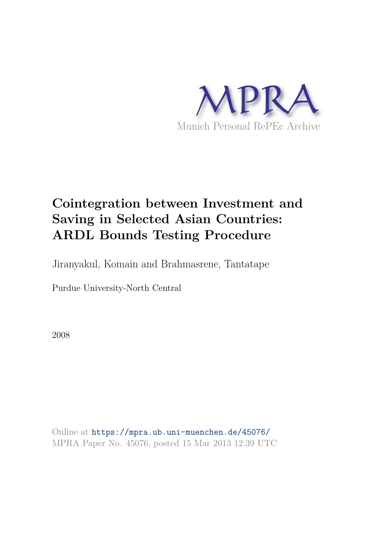

# **Cointegration between Investment and Saving in Selected Asian Countries: ARDL Bounds Testing Procedure**

Jiranyakul, Komain and Brahmasrene, Tantatape

Purdue University-North Central

2008

Online at https://mpra.ub.uni-muenchen.de/45076/ MPRA Paper No. 45076, posted 15 Mar 2013 12:39 UTC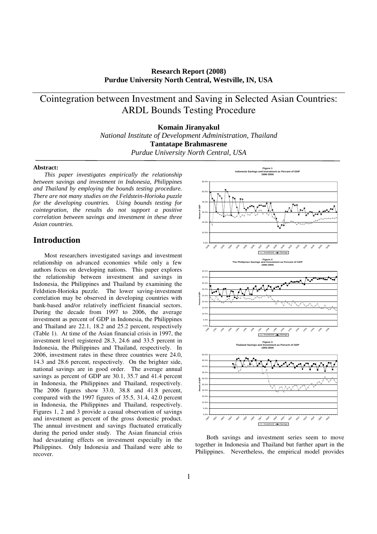**Research Report (2008) Purdue University North Central, Westville, IN, USA**

## Cointegration between Investment and Saving in Selected Asian Countries: ARDL Bounds Testing Procedure

**Komain Jiranyakul**  *National Institute of Development Administration, Thailand* 

**Tantatape Brahmasrene** 

*Purdue University North Central, USA* 

#### **Abstract:**

*This paper investigates empirically the relationship between savings and investment in Indonesia, Philippines and Thailand by employing the bounds testing procedure. There are not many studies on the Feldstein-Horioka puzzle for the developing countries. Using bounds testing for cointegration, the results do not support a positive correlation between savings and investment in these three Asian countries.* 

## **Introduction**

Most researchers investigated savings and investment relationship on advanced economies while only a few authors focus on developing nations. This paper explores the relationship between investment and savings in Indonesia, the Philippines and Thailand by examining the Feldstien-Horioka puzzle. The lower saving-investment correlation may be observed in developing countries with bank-based and/or relatively inefficient financial sectors. During the decade from 1997 to 2006, the average investment as percent of GDP in Indonesia, the Philippines and Thailand are 22.1, 18.2 and 25.2 percent, respectively (Table 1). At time of the Asian financial crisis in 1997, the investment level registered 28.3, 24.6 and 33.5 percent in Indonesia, the Philippines and Thailand, respectively. In 2006, investment rates in these three countries were 24.0, 14.3 and 28.6 percent, respectively. On the brighter side, national savings are in good order. The average annual savings as percent of GDP are 30.1, 35.7 and 41.4 percent in Indonesia, the Philippines and Thailand, respectively. The 2006 figures show 33.0, 38.8 and 41.8 percent, compared with the 1997 figures of 35.5, 31.4, 42.0 percent in Indonesia, the Philippines and Thailand, respectively. Figures 1, 2 and 3 provide a casual observation of savings and investment as percent of the gross domestic product. The annual investment and savings fluctuated erratically during the period under study. The Asian financial crisis had devastating effects on investment especially in the Philippines. Only Indonesia and Thailand were able to recover.



Both savings and investment series seem to move together in Indonesia and Thailand but further apart in the Philippines. Nevertheless, the empirical model provides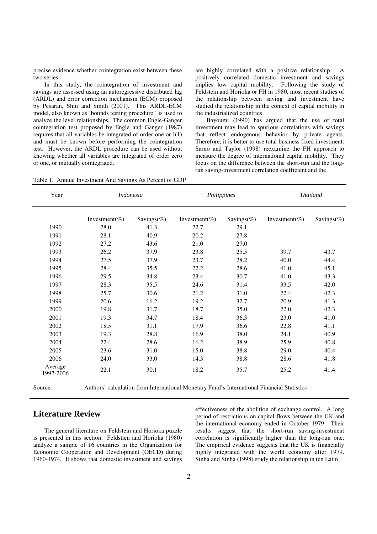precise evidence whether cointegration exist between these two series.

In this study, the cointegration of investment and savings are assessed using an autoregressive distributed lag (ARDL) and error correction mechanism (ECM) proposed by Pesaran, Shin and Smith (2001). This ARDL-ECM model, also known as 'bounds testing procedure,' is used to analyze the level relationships. The common Engle-Ganger cointegration test proposed by Engle and Ganger (1987) requires that all variables be integrated of order one or I(1) and must be known before performing the cointegration test. However, the ARDL procedure can be used without knowing whether all variables are integrated of order zero or one, or mutually cointegrated.

are highly correlated with a positive relationship. positively correlated domestic investment and savings implies low capital mobility. Following the study of Feldstein and Horioka or FH in 1980, most recent studies of the relationship between saving and investment have studied the relationship in the context of capital mobility in the industrialized countries.

Bayoumi (1990) has argued that the use of total investment may lead to spurious correlations with savings that reflect endogenous behavior by private agents. Therefore, it is better to use total business fixed investment. Sarno and Taylor (1998) reexamine the FH approach to measure the degree of international capital mobility. They focus on the difference between the short-run and the longrun saving-investment correlation coefficient and the

Table 1. Annual Investment And Savings As Percent of GDP

| Year                 | <i>Indonesia</i> |            | Philippines   |            | <b>Thailand</b> |            |
|----------------------|------------------|------------|---------------|------------|-----------------|------------|
|                      | Investment(%)    | Savings(%) | Investment(%) | Savings(%) | Investment(%)   | Savings(%) |
| 1990                 | 28.0             | 41.3       | 22.7          | 29.1       |                 |            |
| 1991                 | 28.1             | 40.9       | 20.2          | 27.8       |                 |            |
| 1992                 | 27.2             | 43.6       | 21.0          | 27.0       |                 |            |
| 1993                 | 26.2             | 37.9       | 23.8          | 25.5       | 39.7            | 43.7       |
| 1994                 | 27.5             | 37.9       | 23.7          | 28.2       | 40.0            | 44.4       |
| 1995                 | 28.4             | 35.5       | 22.2          | 28.6       | 41.0            | 45.1       |
| 1996                 | 29.5             | 34.8       | 23.4          | 30.7       | 41.0            | 43.3       |
| 1997                 | 28.3             | 35.5       | 24.6          | 31.4       | 33.5            | 42.0       |
| 1998                 | 25.7             | 30.6       | 21.2          | 31.0       | 22.4            | 42.3       |
| 1999                 | 20.6             | 16.2       | 19.2          | 32.7       | 20.9            | 41.3       |
| 2000                 | 19.8             | 31.7       | 18.7          | 35.0       | 22.0            | 42.3       |
| 2001                 | 19.3             | 34.7       | 18.4          | 36.3       | 23.0            | 41.0       |
| 2002                 | 18.5             | 31.1       | 17.9          | 36.6       | 22.8            | 41.1       |
| 2003                 | 19.3             | 28.8       | 16.9          | 38.0       | 24.1            | 40.9       |
| 2004                 | 22.4             | 28.6       | 16.2          | 38.9       | 25.9            | 40.8       |
| 2005                 | 23.6             | 31.0       | 15.0          | 38.8       | 29.0            | 40.4       |
| 2006                 | 24.0             | 33.0       | 14.3          | 38.8       | 28.6            | 41.8       |
| Average<br>1997-2006 | 22.1             | 30.1       | 18.2          | 35.7       | 25.2            | 41.4       |

Source: Authors' calculation from International Monetary Fund's International Financial Statistics

## **Literature Review**

The general literature on Feldstein and Horioka puzzle is presented in this section. Feldstien and Horioka (1980) analyze a sample of 16 countries in the Organization for Economic Cooperation and Development (OECD) during 1960-1974. It shows that domestic investment and savings

effectiveness of the abolition of exchange control. A long period of restrictions on capital flows between the UK and the international economy ended in October 1979. Their results suggest that the short-run saving-investment correlation is significantly higher than the long-run one. The empirical evidence suggests that the UK is financially highly integrated with the world economy after 1979. Sinha and Sinha (1998) study the relationship in ten Latin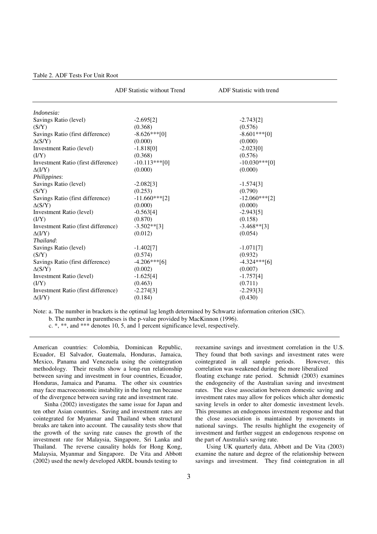|                                     | <b>ADF</b> Statistic without Trend | ADF Statistic with trend |  |
|-------------------------------------|------------------------------------|--------------------------|--|
| Indonesia:                          |                                    |                          |  |
| Savings Ratio (level)               | $-2.695[2]$                        | $-2.743[2]$              |  |
| (S/Y)                               | (0.368)                            | (0.576)                  |  |
| Savings Ratio (first difference)    | $-8.626***[0]$                     | $-8.601***$ [0]          |  |
| $\Delta(S/Y)$                       | (0.000)                            | (0.000)                  |  |
| Investment Ratio (level)            | $-1.818[0]$                        | $-2.023[0]$              |  |
| (I/Y)                               | (0.368)                            | (0.576)                  |  |
| Investment Ratio (first difference) | $-10.113***[0]$                    | $-10.030***$ [0]         |  |
| $\Delta(I/Y)$                       | (0.000)                            | (0.000)                  |  |
| <i>Philippines:</i>                 |                                    |                          |  |
| Savings Ratio (level)               | $-2.082[3]$                        | $-1.574[3]$              |  |
| (S/Y)                               | (0.253)                            | (0.790)                  |  |
| Savings Ratio (first difference)    | $-11.660***$ [2]                   | $-12.060***$ [2]         |  |
| $\Delta(S/Y)$                       | (0.000)                            | (0.000)                  |  |
| Investment Ratio (level)            | $-0.563[4]$                        | $-2.943[5]$              |  |
| (IVY)                               | (0.870)                            | (0.158)                  |  |
| Investment Ratio (first difference) | $-3.502**$ [3]                     | $-3.468**$ [3]           |  |
| $\Delta (I/Y)$                      | (0.012)                            | (0.054)                  |  |
| Thailand:                           |                                    |                          |  |
| Savings Ratio (level)               | $-1.402[7]$                        | $-1.071[7]$              |  |
| (S/Y)                               | (0.574)                            | (0.932)                  |  |
| Savings Ratio (first difference)    | $-4.206***$ [6]                    | $-4.324***$ [6]          |  |
| $\Delta(S/Y)$                       | (0.002)                            | (0.007)                  |  |
| Investment Ratio (level)            | $-1.625[4]$                        | $-1.757[4]$              |  |
| (I/Y)                               | (0.463)                            | (0.711)                  |  |
| Investment Ratio (first difference) | $-2.274[3]$                        | $-2.293[3]$              |  |
| $\Delta( I/Y)$                      | (0.184)                            | (0.430)                  |  |

Note: a. The number in brackets is the optimal lag length determined by Schwartz information criterion (SIC). b. The number in parentheses is the p-value provided by MacKinnon (1996).

c. \*, \*\*, and \*\*\* denotes 10, 5, and 1 percent significance level, respectively.

American countries: Colombia, Dominican Republic, Ecuador, El Salvador, Guatemala, Honduras, Jamaica, Mexico, Panama and Venezuela using the cointegration methodology. Their results show a long-run relationship between saving and investment in four countries, Ecuador, Honduras, Jamaica and Panama. The other six countries may face macroeconomic instability in the long run because of the divergence between saving rate and investment rate.

Sinha (2002) investigates the same issue for Japan and ten other Asian countries. Saving and investment rates are cointegrated for Myanmar and Thailand when structural breaks are taken into account. The causality tests show that the growth of the saving rate causes the growth of the investment rate for Malaysia, Singapore, Sri Lanka and Thailand. The reverse causality holds for Hong Kong, Malaysia, Myanmar and Singapore. De Vita and Abbott (2002) used the newly developed ARDL bounds testing to

reexamine savings and investment correlation in the U.S. They found that both savings and investment rates were cointegrated in all sample periods. However, this correlation was weakened during the more liberalized

floating exchange rate period. Schmidt (2003) examines the endogeneity of the Australian saving and investment rates. The close association between domestic saving and investment rates may allow for polices which alter domestic saving levels in order to alter domestic investment levels. This presumes an endogenous investment response and that the close association is maintained by movements in national savings. The results highlight the exogeneity of investment and further suggest an endogenous response on the part of Australia's saving rate.

Using UK quarterly data, Abbott and De Vita (2003) examine the nature and degree of the relationship between savings and investment. They find cointegration in all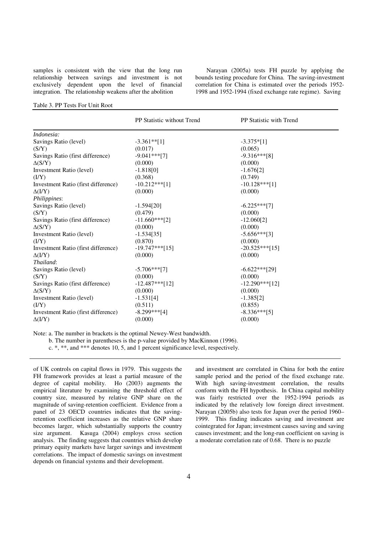samples is consistent with the view that the long run relationship between savings and investment is not exclusively dependent upon the level of financial integration. The relationship weakens after the abolition

Narayan (2005a) tests FH puzzle by applying the bounds testing procedure for China. The saving-investment correlation for China is estimated over the periods 1952- 1998 and 1952-1994 (fixed exchange rate regime). Saving

#### Table 3. PP Tests For Unit Root

|                                     | PP Statistic without Trend | <b>PP</b> Statistic with Trend |
|-------------------------------------|----------------------------|--------------------------------|
| Indonesia:                          |                            |                                |
| Savings Ratio (level)               | $-3.361**$ [1]             | $-3.375*[1]$                   |
| (S/Y)                               | (0.017)                    | (0.065)                        |
| Savings Ratio (first difference)    | $-9.041***$ [7]            | $-9.316***[8]$                 |
| $\Delta(S/Y)$                       | (0.000)                    | (0.000)                        |
| Investment Ratio (level)            | $-1.818[0]$                | $-1.676[2]$                    |
| (I/Y)                               | (0.368)                    | (0.749)                        |
| Investment Ratio (first difference) | $-10.212***$ [1]           | $-10.128***$ [1]               |
| $\Delta( I/Y)$                      | (0.000)                    | (0.000)                        |
| Philippines:                        |                            |                                |
| Savings Ratio (level)               | $-1.594[20]$               | $-6.225***$ [7]                |
| (S/Y)                               | (0.479)                    | (0.000)                        |
| Savings Ratio (first difference)    | $-11.660***[2]$            | $-12.060[2]$                   |
| $\Delta(S/Y)$                       | (0.000)                    | (0.000)                        |
| Investment Ratio (level)            | $-1.534[35]$               | $-5.656***$ [3]                |
| (I/Y)                               | (0.870)                    | (0.000)                        |
| Investment Ratio (first difference) | $-19.747***[15]$           | $-20.525***$ [15]              |
| $\Delta(I/Y)$                       | (0.000)                    | (0.000)                        |
| Thailand:                           |                            |                                |
| Savings Ratio (level)               | $-5.706***$ [7]            | $-6.622***$ [29]               |
| (S/Y)                               | (0.000)                    | (0.000)                        |
| Savings Ratio (first difference)    | $-12.487***$ [12]          | $-12.290***121$                |
| $\Delta(S/Y)$                       | (0.000)                    | (0.000)                        |
| Investment Ratio (level)            | $-1.531[4]$                | $-1.385[2]$                    |
| (I/Y)                               | (0.511)                    | (0.855)                        |
| Investment Ratio (first difference) | $-8.299***[4]$             | $-8.336***$ [5]                |
| $\Delta( I/Y)$                      | (0.000)                    | (0.000)                        |

Note: a. The number in brackets is the optimal Newey-West bandwidth.

b. The number in parentheses is the p-value provided by MacKinnon (1996).

c. \*, \*\*, and \*\*\* denotes 10, 5, and 1 percent significance level, respectively.

of UK controls on capital flows in 1979. This suggests the FH framework provides at least a partial measure of the degree of capital mobility. Ho (2003) augments the empirical literature by examining the threshold effect of country size, measured by relative GNP share on the magnitude of saving-retention coefficient. Evidence from a panel of 23 OECD countries indicates that the savingretention coefficient increases as the relative GNP share becomes larger, which substantially supports the country size argument. Kasuga (2004) employs cross section analysis. The finding suggests that countries which develop primary equity markets have larger savings and investment correlations. The impact of domestic savings on investment depends on financial systems and their development.

and investment are correlated in China for both the entire sample period and the period of the fixed exchange rate. With high saving-investment correlation, the results conform with the FH hypothesis. In China capital mobility was fairly restricted over the 1952-1994 periods as indicated by the relatively low foreign direct investment. Narayan (2005b) also tests for Japan over the period 1960– 1999. This finding indicates saving and investment are cointegrated for Japan; investment causes saving and saving causes investment; and the long-run coefficient on saving is a moderate correlation rate of 0.68. There is no puzzle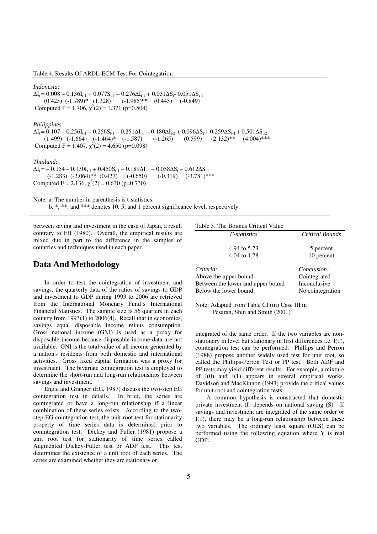Table 4. Results Of ARDL-ECM Test For Cointegatrion

*Indonesia*:  $\Delta I_t = 0.008 - 0.136I_{t-1} + 0.077S_{t-1} - 0.276\Delta I_{t-1} + 0.031\Delta S_t - 0.051\Delta S_{t-1}$  $(0.425)$   $(-1.789)$ \*  $(1.328)$   $(-1.985)$ \*\*  $(0.445)$   $(-0.849)$ Computed F = 1.706,  $\chi^2(2) = 1.371$  (p=0.504) *Philippines*:  $\Delta I_t = 0.107 - 0.256I_{t-1} - 0.256S_{t-1} - 0.251\Delta I_{t-1} - 0.180\Delta I_{t-2} + 0.096\Delta S_t + 0.259\Delta S_{t-1} + 0.501\Delta S_{t-2}$ <br>
(1.499) (-1.664) (-1.464)\* (-1.587) (-1.265) (0.599) (2.132)\*\* (4.004)\*\*\*  $(1.499)$   $(-1.664)$   $(-1.464)*$   $(-1.587)$ Computed F = 1.407,  $\chi^2(2) = 4.650$  (p=0.098) *Thailand*:  $\Delta I_t = -0.154 - 0.130I_{t-1} + 0.450S_{t-1} - 0.189\Delta I_{t-1} - 0.058\Delta S_t - 0.612\Delta S_{t-1}$  $(-1.283)$   $(-2.064)$ <sup>\*\*</sup>  $(0.427)$   $(-0.650)$   $(-0.319)$   $(-3.781)$ <sup>\*\*\*</sup> Computed F = 2.136,  $\chi^2(2) = 0.630$  (p=0.730) Note: a. The number in parenthesis is t-statistics.

b. \*, \*\*, and \*\*\* denotes 10, 5, and 1 percent significance level, respectively.

between saving and investment in the case of Japan, a result contrary to FH (1980). Overall, the empirical results are mixed due in part to the difference in the samples of countries and techniques used in each paper.

## **Data And Methodology**

 In order to test the cointegration of investment and savings, the quarterly data of the ratios of savings to GDP and investment to GDP during 1993 to 2006 are retrieved from the International Monetary Fund's International Financial Statistics. The sample size is 56 quarters in each country from 1993(1) to 2006(4). Recall that in economics, savings equal disposable income minus consumption. Gross national income (GNI) is used as a proxy for disposable income because disposable income data are not available. GNI is the total value of all income generated by a nation's residents from both domestic and international activities. Gross fixed capital formation was a proxy for investment. The bivariate cointegration test is employed to determine the short-run and long-run relationships between savings and investment.

Engle and Granger (EG, 1987) discuss the two-step EG cointegration test in details. In brief, the series are cointegrated or have a long-run relationship if a linear combination of these series exists. According to the twostep EG cointegration test, the unit root test for stationarity property of time series data is determined prior to conintegration test. Dickey and Fuller (1981) propose a unit root test for stationarity of time series called Augmented Dickey-Fuller test or ADF test. This test determines the existence of a unit root of each series. The series are examined whether they are stationary or

| Table 5. The Bounds Critical Value |                        |
|------------------------------------|------------------------|
| <i>F-statistics</i>                | <b>Critical Bounds</b> |
| 4.94 to 5.73                       | 5 percent              |
| 4.04 to 4.78                       | 10 percent             |
| Criteria:                          | Conclusion:            |
| Above the upper bound              | Cointegrated           |
| Between the lower and upper bound  | Inconclusive           |
| Below the lower bound              | No cointegration       |

Note: Adapted from Table CI (iii) Case III in Pesaran, Shin and Smith (2001)

integrated of the same order. If the two variables are nonstationary in level but stationary in first differences i.e. I(1), cointegration test can be performed. Phillips and Perron (1988) propose another widely used test for unit root, so called the Phillips-Perron Test or PP test. Both ADF and PP tests may yield different results. For example, a mixture of I(0) and I(1) appears in several empirical works. Davidson and MacKinnon (1993) provide the critical values for unit root and cointegration tests.

A common hypothesis is constructed that domestic private investment (I) depends on national saving (S). If savings and investment are integrated of the same order or I(1), there may be a long-run relationship between these two variables. The ordinary least square (OLS) can be performed using the following equation where Y is real GDP.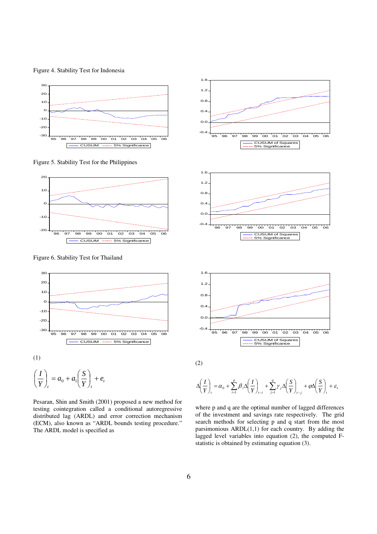Figure 4. Stability Test for Indonesia



Figure 5. Stability Test for the Philippines



Figure 6. Stability Test for Thailand



$$
\left(\frac{I}{Y}\right)_t = a_0 + a_1 \left(\frac{S}{Y}\right)_t + e_t
$$

Pesaran, Shin and Smith (2001) proposed a new method for testing cointegration called a conditional autoregressive distributed lag (ARDL) and error correction mechanism (ECM), also known as "ARDL bounds testing procedure." The ARDL model is specified as



$$
\mathcal{L}^{\mathcal{L}}_{\mathcal{L}}
$$

$$
\Delta\left(\frac{I}{Y}\right)_t = \alpha_0 + \sum_{i=1}^p \beta_i \Delta\left(\frac{I}{Y}\right)_{t-i} + \sum_{j=1}^q \gamma_j \Delta\left(\frac{S}{Y}\right)_{t-j} + \varphi \Delta\left(\frac{S}{Y}\right)_{t} + \varepsilon_t
$$

where p and q are the optimal number of lagged differences of the investment and savings rate respectively. The grid search methods for selecting p and q start from the most parsimonious  $ARDL(1,1)$  for each country. By adding the lagged level variables into equation (2), the computed Fstatistic is obtained by estimating equation (3).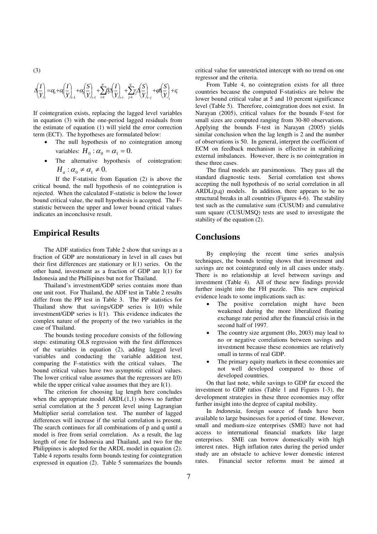$$
\Delta\left(\frac{I}{Y}\right)_{\!\!\!r} = \!c\!\zeta\!+\!c\!\zeta\!\left(\frac{I}{Y}\right)_{\!\!\!r\!-\!1} + \!c\!\zeta\!\left(\frac{S}{Y}\right)_{\!\!\!r\!-\!1} + \sum_{i=1}^p\!\beta\!\zeta\!\left(\frac{I}{Y}\right)_{\!\!\!r\!-\!i} + \sum_{j=1}^q\!\gamma\!\cdot\!\left(\frac{S}{Y}\right)_{\!\!\!r\!-\!j} + \!c\!\beta\!\left(\frac{S}{Y}\right)_{\!\!\!r} + \!c\!\zeta\!\left(\frac{S}{Y}\right)_{\!\!\!r} + \!c\!\zeta\!\left(\frac{S}{Y}\right)_{\!\!\!r} + \!c\!\zeta\!\left(\frac{S}{Y}\right)_{\!\!\!r} + \!c\!\zeta\!\left(\frac{S}{Y}\right)_{\!\!\!r} + \!c\!\zeta\!\left(\frac{S}{Y}\right)_{\!\!\!r} + \!c\!\zeta\!\left(\frac{S}{Y}\right)_{\!\!\!r} + \!c\!\zeta\!\left(\frac{S}{Y}\right)_{\!\!\!r} + \!c\!\zeta\!\left(\frac{S}{Y}\right)_{\!\!\!r} + \!c\!\zeta\!\left(\frac{S}{Y}\right)_{\!\!\!r} + \!c\!\zeta\!\left(\frac{S}{Y}\right)_{\!\!\!r} + \!c\!\zeta\!\left(\frac{S}{Y}\right)_{\!\!\!r} + \!c\!\zeta\!\left(\frac{S}{Y}\right)_{\!\!\!r} + \!c\!\zeta\!\left(\frac{S}{Y}\right)_{\!\!\!r} + \!c\!\zeta\!\left(\frac{S}{Y}\right)_{\!\!\!r} + \!c\!\zeta\!\left(\frac{S}{Y}\right)_{\!\!\!r} + \!c\!\zeta\!\left(\frac{S}{Y}\right)_{\!\!\!r} + \!c\!\zeta\!\left(\frac{S}{Y}\right)_{\!\!\!r} + \!c\!\zeta\!\left(\frac{S}{Y}\right)_{\!\!\!r} + \!c\!\zeta\!\left(\frac{S}{Y}\right)_{\!\!\!r} + \!c\!\zeta\!\left(\frac{S}{Y}\right)_{\!\!\!r} + \!c\!\zeta\!\left(\frac{S}{Y}\right)
$$

If cointegration exists, replacing the lagged level variables in equation (3) with the one-period lagged residuals from the estimate of equation (1) will yield the error correction term (ECT). The hypotheses are formulated below:

- The null hypothesis of no cointegration among variables:  $H_0$  :  $\alpha_0 = \alpha_1 = 0$ .
- The alternative hypothesis of cointegration:  $H_a$ :  $\alpha_0 \neq \alpha_1 \neq 0$ .

If the F-statistic from Equation (2) is above the critical bound, the null hypothesis of no cointegration is rejected. When the calculated F-statistic is below the lower bound critical value, the null hypothesis is accepted. The Fstatistic between the upper and lower bound critical values indicates an inconclusive result.

## **Empirical Results**

The ADF statistics from Table 2 show that savings as a fraction of GDP are nonstationary in level in all cases but their first differences are stationary or I(1) series. On the other hand, investment as a fraction of GDP are I(1) for Indonesia and the Phillipines but not for Thailand.

Thailand's investment/GDP series contains more than one unit root. For Thailand, the ADF test in Table 2 results differ from the PP test in Table 3. The PP statistics for Thailand show that savings/GDP series is I(0) while investment/GDP series is I(1). This evidence indicates the complex nature of the property of the two variables in the case of Thailand.

The bounds testing procedure consists of the following steps: estimating OLS regression with the first differences of the variables in equation (2), adding lagged level variables and conducting the variable addition test, comparing the F-statistics with the critical values. The bound critical values have two asymptotic critical values. The lower critical value assumes that the regressors are I(0) while the upper critical value assumes that they are I(1).

The criterion for choosing lag length here concludes when the appropriate model ARDL(1,1) shows no further serial correlation at the 5 percent level using Lagrangian Multiplier serial correlation test. The number of lagged differences will increase if the serial correlation is present. The search continues for all combinations of p and q until a model is free from serial correlation. As a result, the lag length of one for Indonesia and Thailand, and two for the Philippines is adopted for the ARDL model in equation (2). Table 4 reports results form bounds testing for cointegration expressed in equation (2). Table 5 summarizes the bounds critical value for unrestricted intercept with no trend on one regressor and the criteria.

 From Table 4, no cointegration exists for all three countries because the computed F-statistics are below the lower bound critical value at 5 and 10 percent significance level (Table 5). Therefore, cointegration does not exist. In Narayan (2005), critical values for the bounds F-test for small sizes are computed ranging from 30-80 observations. Applying the bounds F-test in Narayan (2005) yields similar conclusion when the lag length is 2 and the number of observations is 50. In general, interpret the coefficient of ECM on feedback mechanism is effective in stabilizing external imbalances. However, there is no cointegration in these three cases.

The final models are parsimonious. They pass all the standard diagnostic tests. Serial correlation test shows accepting the null hypothesis of no serial correlation in all  $ARDL(p,q)$  models. In addition, there appears to be no structural breaks in all countries (Figures 4-6). The stability test such as the cumulative sum (CUSUM) and cumulative sum square (CUSUMSQ) tests are used to investigate the stability of the equation (2).

## **Conclusions**

By employing the recent time series analysis techniques, the bounds testing shows that investment and savings are not cointegrated only in all cases under study. There is no relationship at level between savings and investment (Table 4). All of these new findings provide further insight into the FH puzzle. This new empirical evidence leads to some implications such as:

- The positive correlation might have been weakened during the more liberalized floating exchange rate period after the financial crisis in the second half of 1997.
- The country size argument (Ho, 2003) may lead to no or negative correlations between savings and investment because these economies are relatively small in terms of real GDP.
- The primary equity markets in these economies are not well developed compared to those of developed countries.

On that last note, while savings to GDP far exceed the investment to GDP ratios (Table 1 and Figures 1-3), the development strategies in these three economies may offer further insight into the degree of capital mobility.

In *Indonesia*, foreign source of funds have been available to large businesses for a period of time. However, small and medium-size enterprises (SME) have not had access to international financial markets like large enterprises. SME can borrow domestically with high interest rates. High inflation rates during the period under study are an obstacle to achieve lower domestic interest rates. Financial sector reforms must be aimed at

(3)